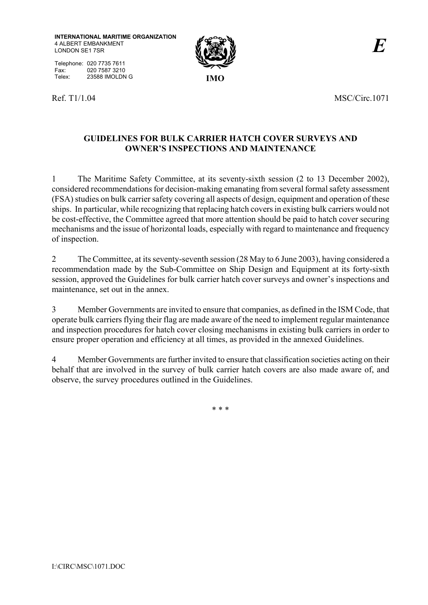**INTERNATIONAL MARITIME ORGANIZATION** 4 ALBERT EMBANKMENT LONDON SE1 7SR

Telephone: 020 7735 7611 Fax: 020 7587 3210<br>Telex: 23588 IMOLDN Telex: 23588 IMOLDN G **IMO** 





Ref. T1/1.04 MSC/Circ.1071

# **GUIDELINES FOR BULK CARRIER HATCH COVER SURVEYS AND OWNER'S INSPECTIONS AND MAINTENANCE**

1 The Maritime Safety Committee, at its seventy-sixth session (2 to 13 December 2002), considered recommendations for decision-making emanating from several formal safety assessment (FSA) studies on bulk carrier safety covering all aspects of design, equipment and operation of these ships. In particular, while recognizing that replacing hatch covers in existing bulk carriers would not be cost-effective, the Committee agreed that more attention should be paid to hatch cover securing mechanisms and the issue of horizontal loads, especially with regard to maintenance and frequency of inspection.

2 The Committee, at its seventy-seventh session (28 May to 6 June 2003), having considered a recommendation made by the Sub-Committee on Ship Design and Equipment at its forty-sixth session, approved the Guidelines for bulk carrier hatch cover surveys and owner's inspections and maintenance, set out in the annex.

3 Member Governments are invited to ensure that companies, as defined in the ISM Code, that operate bulk carriers flying their flag are made aware of the need to implement regular maintenance and inspection procedures for hatch cover closing mechanisms in existing bulk carriers in order to ensure proper operation and efficiency at all times, as provided in the annexed Guidelines.

4 Member Governments are further invited to ensure that classification societies acting on their behalf that are involved in the survey of bulk carrier hatch covers are also made aware of, and observe, the survey procedures outlined in the Guidelines.

\* \* \*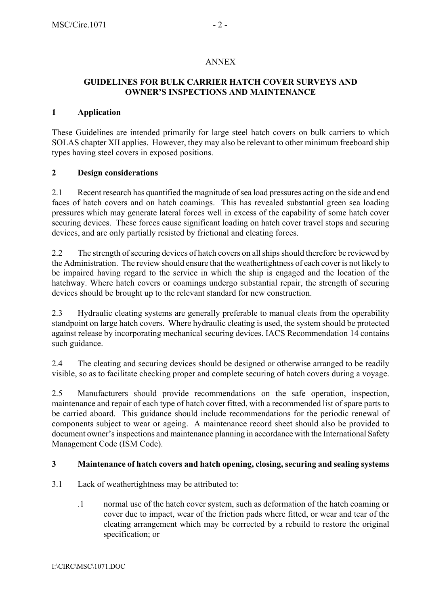### ANNEX

#### **GUIDELINES FOR BULK CARRIER HATCH COVER SURVEYS AND OWNER'S INSPECTIONS AND MAINTENANCE**

### **1 Application**

These Guidelines are intended primarily for large steel hatch covers on bulk carriers to which SOLAS chapter XII applies. However, they may also be relevant to other minimum freeboard ship types having steel covers in exposed positions.

### **2 Design considerations**

2.1 Recent research has quantified the magnitude of sea load pressures acting on the side and end faces of hatch covers and on hatch coamings. This has revealed substantial green sea loading pressures which may generate lateral forces well in excess of the capability of some hatch cover securing devices. These forces cause significant loading on hatch cover travel stops and securing devices, and are only partially resisted by frictional and cleating forces.

2.2 The strength of securing devices of hatch covers on all ships should therefore be reviewed by the Administration. The review should ensure that the weathertightness of each cover is not likely to be impaired having regard to the service in which the ship is engaged and the location of the hatchway. Where hatch covers or coamings undergo substantial repair, the strength of securing devices should be brought up to the relevant standard for new construction.

2.3 Hydraulic cleating systems are generally preferable to manual cleats from the operability standpoint on large hatch covers. Where hydraulic cleating is used, the system should be protected against release by incorporating mechanical securing devices. IACS Recommendation 14 contains such guidance.

2.4 The cleating and securing devices should be designed or otherwise arranged to be readily visible, so as to facilitate checking proper and complete securing of hatch covers during a voyage.

2.5 Manufacturers should provide recommendations on the safe operation, inspection, maintenance and repair of each type of hatch cover fitted, with a recommended list of spare parts to be carried aboard. This guidance should include recommendations for the periodic renewal of components subject to wear or ageing. A maintenance record sheet should also be provided to document owner's inspections and maintenance planning in accordance with the International Safety Management Code (ISM Code).

# **3 Maintenance of hatch covers and hatch opening, closing, securing and sealing systems**

- 3.1 Lack of weathertightness may be attributed to:
	- .1 normal use of the hatch cover system, such as deformation of the hatch coaming or cover due to impact, wear of the friction pads where fitted, or wear and tear of the cleating arrangement which may be corrected by a rebuild to restore the original specification; or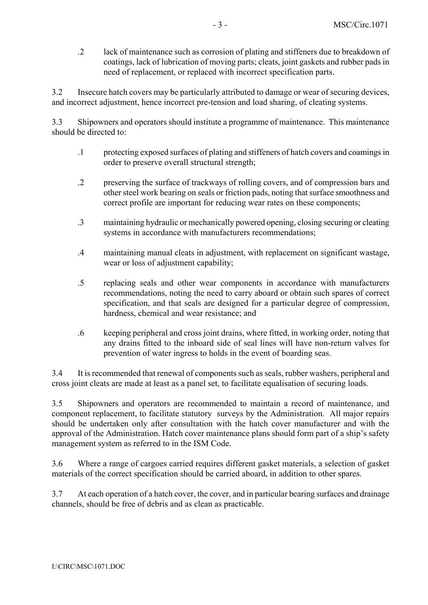.2 lack of maintenance such as corrosion of plating and stiffeners due to breakdown of coatings, lack of lubrication of moving parts; cleats, joint gaskets and rubber pads in need of replacement, or replaced with incorrect specification parts.

3.2 Insecure hatch covers may be particularly attributed to damage or wear of securing devices, and incorrect adjustment, hence incorrect pre-tension and load sharing, of cleating systems.

3.3 Shipowners and operators should institute a programme of maintenance. This maintenance should be directed to:

- .1 protecting exposed surfaces of plating and stiffeners of hatch covers and coamings in order to preserve overall structural strength;
- .2 preserving the surface of trackways of rolling covers, and of compression bars and other steel work bearing on seals or friction pads, noting that surface smoothness and correct profile are important for reducing wear rates on these components;
- .3 maintaining hydraulic or mechanically powered opening, closing securing or cleating systems in accordance with manufacturers recommendations;
- .4 maintaining manual cleats in adjustment, with replacement on significant wastage, wear or loss of adjustment capability;
- .5 replacing seals and other wear components in accordance with manufacturers recommendations, noting the need to carry aboard or obtain such spares of correct specification, and that seals are designed for a particular degree of compression, hardness, chemical and wear resistance; and
- .6 keeping peripheral and cross joint drains, where fitted, in working order, noting that any drains fitted to the inboard side of seal lines will have non-return valves for prevention of water ingress to holds in the event of boarding seas.

3.4 It is recommended that renewal of components such as seals, rubber washers, peripheral and cross joint cleats are made at least as a panel set, to facilitate equalisation of securing loads.

3.5 Shipowners and operators are recommended to maintain a record of maintenance, and component replacement, to facilitate statutory surveys by the Administration. All major repairs should be undertaken only after consultation with the hatch cover manufacturer and with the approval of the Administration. Hatch cover maintenance plans should form part of a ship's safety management system as referred to in the ISM Code.

3.6 Where a range of cargoes carried requires different gasket materials, a selection of gasket materials of the correct specification should be carried aboard, in addition to other spares.

3.7 At each operation of a hatch cover, the cover, and in particular bearing surfaces and drainage channels, should be free of debris and as clean as practicable.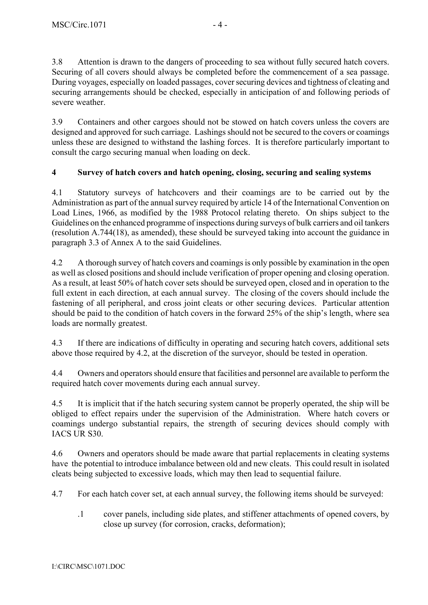3.8 Attention is drawn to the dangers of proceeding to sea without fully secured hatch covers. Securing of all covers should always be completed before the commencement of a sea passage. During voyages, especially on loaded passages, cover securing devices and tightness of cleating and securing arrangements should be checked, especially in anticipation of and following periods of severe weather.

3.9 Containers and other cargoes should not be stowed on hatch covers unless the covers are designed and approved for such carriage. Lashings should not be secured to the covers or coamings unless these are designed to withstand the lashing forces. It is therefore particularly important to consult the cargo securing manual when loading on deck.

# **4 Survey of hatch covers and hatch opening, closing, securing and sealing systems**

4.1 Statutory surveys of hatchcovers and their coamings are to be carried out by the Administration as part of the annual survey required by article 14 of the International Convention on Load Lines, 1966, as modified by the 1988 Protocol relating thereto. On ships subject to the Guidelines on the enhanced programme of inspections during surveys of bulk carriers and oil tankers (resolution A.744(18), as amended), these should be surveyed taking into account the guidance in paragraph 3.3 of Annex A to the said Guidelines.

4.2 A thorough survey of hatch covers and coamings is only possible by examination in the open as well as closed positions and should include verification of proper opening and closing operation. As a result, at least 50% of hatch cover sets should be surveyed open, closed and in operation to the full extent in each direction, at each annual survey. The closing of the covers should include the fastening of all peripheral, and cross joint cleats or other securing devices. Particular attention should be paid to the condition of hatch covers in the forward 25% of the ship's length, where sea loads are normally greatest.

4.3 If there are indications of difficulty in operating and securing hatch covers, additional sets above those required by 4.2, at the discretion of the surveyor, should be tested in operation.

4.4 Owners and operators should ensure that facilities and personnel are available to perform the required hatch cover movements during each annual survey.

4.5 It is implicit that if the hatch securing system cannot be properly operated, the ship will be obliged to effect repairs under the supervision of the Administration.Where hatch covers or coamings undergo substantial repairs, the strength of securing devices should comply with IACS UR S30.

4.6 Owners and operators should be made aware that partial replacements in cleating systems have the potential to introduce imbalance between old and new cleats. This could result in isolated cleats being subjected to excessive loads, which may then lead to sequential failure.

4.7 For each hatch cover set, at each annual survey, the following items should be surveyed:

.1 cover panels, including side plates, and stiffener attachments of opened covers, by close up survey (for corrosion, cracks, deformation);